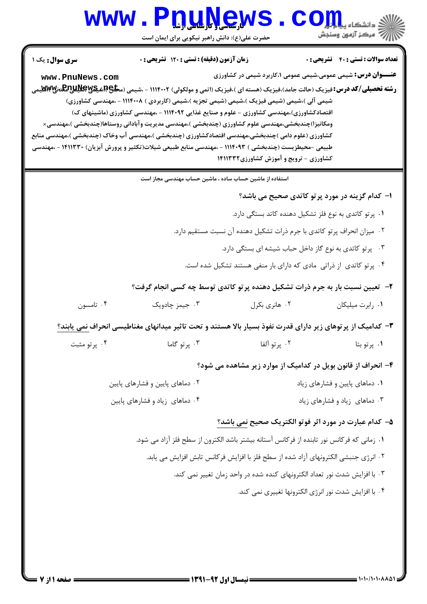## 

| <b>سری سوال :</b> یک ۱                                                                                                                                                                                                                                                                                                                                                                                                                                                                                                                                                                                                                                                                                                                                                                                                          | زمان آزمون (دقیقه) : تستی : 120 تشریحی : 0                    |                                                                    | <b>تعداد سوالات : تستي : 40 قشريحي : 0</b>                          |  |  |
|---------------------------------------------------------------------------------------------------------------------------------------------------------------------------------------------------------------------------------------------------------------------------------------------------------------------------------------------------------------------------------------------------------------------------------------------------------------------------------------------------------------------------------------------------------------------------------------------------------------------------------------------------------------------------------------------------------------------------------------------------------------------------------------------------------------------------------|---------------------------------------------------------------|--------------------------------------------------------------------|---------------------------------------------------------------------|--|--|
| www.PnuNews.com                                                                                                                                                                                                                                                                                                                                                                                                                                                                                                                                                                                                                                                                                                                                                                                                                 |                                                               |                                                                    | <b>عنـــوان درس:</b> شیمی عمومی،شیمی عمومی ۱،کاربرد شیمی در کشاورزی |  |  |
| <b>رشته تحصیلی/کد درس:</b> فیزیک (حالت جامد)،فیزیک (هسته ای )،فیزیک (اتمی و مولکولی) ۱۱۱۴۰۰۲ - ،شیمی (م <del>عل</del> َّع بِگِمِلِلِRAیلِRAپلالِRAولی) ۱۱۴۰۰۲ - ،شیمی (م <del>علَ</del> عِ بِگِمِلِتِمِلِلِRAوالِی) ۱۱۴۰۰۲ - ،شیمی (م <del>علَ</del> عِ بِگِمِلِتِمِ<br>شیمی آلی )،شیمی (شیمی فیزیک )،شیمی (شیمی تجزیه )،شیمی (کاربردی ) ۱۱۱۴۰۰۸ - ،مهندسی کشاورزی)<br>اقتصادکشاورزی)،مهندسی کشاورزی - علوم و صنایع غذایی ۱۱۱۴۰۹۲ - ،مهندسی کشاورزی (ماشینهای ک)<br>ومکانیزا)چندبخشی،مهندسی علوم کشاورزی (چندبخشی )،مهندسی مدیریت وآبادانی روستاها(چندبخشی )،مهندسی×<br>کشاورزی (علوم دامی )چندبخشی،مهندسی اقتصادکشاورزی (چندبخشی )،مهندسی آب وخاک (چندبخشی )،مهندسی منابع<br>طبیعی -محیطزیست (چندبخشی ) ۱۱۱۴۰۹۳ - ،مهندسی منابع طبیعی شیلات(تکثیر و پرورش آبزیان) ۱۴۱۱۳۳۰ - ،مهندسی<br>کشاورزی - ترویج و آموزش کشاورزی ۱۴۱۱۳۳۲ |                                                               |                                                                    |                                                                     |  |  |
|                                                                                                                                                                                                                                                                                                                                                                                                                                                                                                                                                                                                                                                                                                                                                                                                                                 | استفاده از ماشین حساب ساده ، ماشین حساب مهندسی مجاز است       |                                                                    |                                                                     |  |  |
| ۱– کدام گزینه در مورد پرتو کاتدی صحیح می باشد؟                                                                                                                                                                                                                                                                                                                                                                                                                                                                                                                                                                                                                                                                                                                                                                                  |                                                               |                                                                    |                                                                     |  |  |
| ۰۱ پرتو کاتدی به نوع فلز تشکیل دهنده کاتد بستگی دارد.                                                                                                                                                                                                                                                                                                                                                                                                                                                                                                                                                                                                                                                                                                                                                                           |                                                               |                                                                    |                                                                     |  |  |
| ۰۲ میزان انحراف پرتو کاتدی با جرم ذرات تشکیل دهنده آن نسبت مستقیم دارد.                                                                                                                                                                                                                                                                                                                                                                                                                                                                                                                                                                                                                                                                                                                                                         |                                                               |                                                                    |                                                                     |  |  |
| ۰۳ پرتو کاتدی به نوع گاز داخل حباب شیشه ای بستگی دارد.                                                                                                                                                                                                                                                                                                                                                                                                                                                                                                                                                                                                                                                                                                                                                                          |                                                               |                                                                    |                                                                     |  |  |
|                                                                                                                                                                                                                                                                                                                                                                                                                                                                                                                                                                                                                                                                                                                                                                                                                                 |                                                               | ۰۴ پرتو کاتدی از ذراتی مادی که دارای بار منفی هستند تشکیل شده است. |                                                                     |  |  |
| ۲-۔ تعیین نسبت بار به جرم ذرات تشکیل دهنده پرتو کاتدی توسط چه کسی انجام گرفت؟                                                                                                                                                                                                                                                                                                                                                                                                                                                                                                                                                                                                                                                                                                                                                   |                                                               |                                                                    |                                                                     |  |  |
| ۰۴ تامسون                                                                                                                                                                                                                                                                                                                                                                                                                                                                                                                                                                                                                                                                                                                                                                                                                       | ۰۳ جیمز چادویک                                                | ۰۲ هانري بکرل                                                      | ٠١ رابرت ميليكان                                                    |  |  |
| <b>۳</b> – کدامیک از پرتوهای زیر دارای قدرت نفوذ بسیار بالا هستند و تحت تاثیر میدانهای مغناطیسی انحراف <u>نمی</u> یابند؟                                                                                                                                                                                                                                                                                                                                                                                                                                                                                                                                                                                                                                                                                                        |                                                               |                                                                    |                                                                     |  |  |
| ۰۴ پرتو مثبت                                                                                                                                                                                                                                                                                                                                                                                                                                                                                                                                                                                                                                                                                                                                                                                                                    | ۰۳ پرتو گاما                                                  | ۰۲ پرتو آلفا                                                       | ۰۱ پرتوبتا                                                          |  |  |
|                                                                                                                                                                                                                                                                                                                                                                                                                                                                                                                                                                                                                                                                                                                                                                                                                                 | ۴- انحراف از قانون بویل در کدامیک از موارد زیر مشاهده می شود؟ |                                                                    |                                                                     |  |  |
| ۰۲ دماهای پایین و فشارهای پایین                                                                                                                                                                                                                                                                                                                                                                                                                                                                                                                                                                                                                                                                                                                                                                                                 |                                                               | ۰۱ دماهای پایین و فشارهای زیاد                                     |                                                                     |  |  |
| ۰۴ دماهای زیاد و فشارهای پایین                                                                                                                                                                                                                                                                                                                                                                                                                                                                                                                                                                                                                                                                                                                                                                                                  |                                                               | ۰۳ دماهای زیاد و فشارهای زیاد                                      |                                                                     |  |  |
| ۵– کدام عبارت در مورد اثر فوتو الکتریک صحیح نمی باشد؟                                                                                                                                                                                                                                                                                                                                                                                                                                                                                                                                                                                                                                                                                                                                                                           |                                                               |                                                                    |                                                                     |  |  |
| ٠١ زماني كه فركانس نور تابنده از فركانس آستانه بيشتر باشد الكترون از سطح فلز آزاد مي شود.                                                                                                                                                                                                                                                                                                                                                                                                                                                                                                                                                                                                                                                                                                                                       |                                                               |                                                                    |                                                                     |  |  |
| ٢ . انرژى جنبشى الكترونهاى آزاد شده از سطح فلز با افزايش فركانس تابش افزايش مى يابد.                                                                                                                                                                                                                                                                                                                                                                                                                                                                                                                                                                                                                                                                                                                                            |                                                               |                                                                    |                                                                     |  |  |
| ۰۳ با افزایش شدت نور تعداد الکترونهای کنده شده در واحد زمان تغییر نمی کند.                                                                                                                                                                                                                                                                                                                                                                                                                                                                                                                                                                                                                                                                                                                                                      |                                                               |                                                                    |                                                                     |  |  |
| ۰۴ با افزایش شدت نور انرژی الکترونها تغییری نمی کند.                                                                                                                                                                                                                                                                                                                                                                                                                                                                                                                                                                                                                                                                                                                                                                            |                                                               |                                                                    |                                                                     |  |  |
|                                                                                                                                                                                                                                                                                                                                                                                                                                                                                                                                                                                                                                                                                                                                                                                                                                 |                                                               |                                                                    |                                                                     |  |  |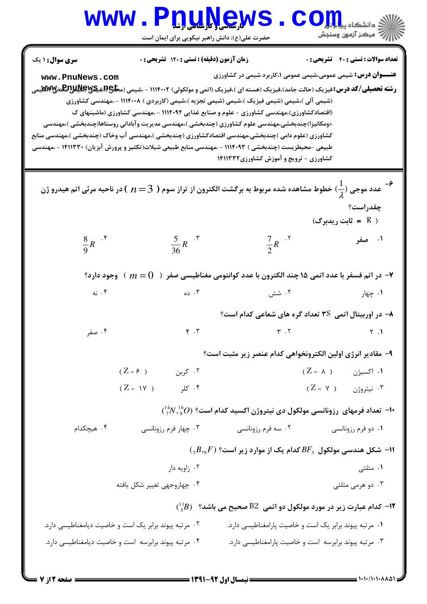## WWW.PnuNews.Com ے<br>ا*للہ* مرکز آزمون وسنجش حضرت علی(ع): دانش راهبر نیکویی برای ایمان است **تعداد سوالات : تستي : 40 - تشريحي : 0 سری سوال : ۱ یک زمان آزمون (دقیقه) : تستی : 120 تشریحی: 0 عنـــوان درس:** شیمی عمومی،شیمی عمومی ۱،کاربرد شیمی در کشاورزی www.PnuNews.com **رشته تحصیلی/کد درس:**فیزیک (حالت جامد)،فیزیک (هسته ای )،فیزیک (اتمی و مولکولی) ۱۱۱۴۰۰۲ - ،شیمی (م**حلیARیRیRیاRRیلیR**Rکا**) (ه** (شیمی آلی )،شیمی (شیمی فیزیک )،شیمی (شیمی تجزیه )،شیمی (کاربردی ) ۱۱۱۴۰۰۸ - ،مهندسی کشاورزی (اقتصادکشاورزی)،مهندسی کشاورزی - علوم و صنایع غذایی ۱۱۱۴۰۹۲ - ،مهندسی کشاورزی (ماشینهای ک ×ومكانيزا)چندبخشي،مهندسي علوم كشاورزي (چندبخشي )،مهندسي مديريت وآباداني روستاها(چندبخشي )،مهندسي کشاورزی (علوم دامی )چندبخشی،مهندسی اقتصادکشاورزی (چندبخشی )،مهندسی آب وخاک (چندبخشی )،مهندسی منابع طبیعی -محیطزیست (چندبخشی ) ۱۱۴۰۹۳ - ،مهندسی منابع طبیعی شیلات(تکثیر و پرورش آبزیان) ۱۴۱۱۳۳۰ - ،مهندسی کشاورزی - ترویج و آموزش کشاورزی1۴۱۱۳۳۲ عدد موجی  $(\frac{1}{2})$  خطوط مشاهده شده مربوط به برگشت الکترون از تراز سوم (  $n\!=\!3$  ) در ناحیه مرئی اتم هیدرو ژن $^{\mathcal{I}}$ چقدراست؟  $($  = ثابت ریدبرگ)  $rac{5}{36}R$   $\cdot$   $\cdot$  $\frac{7}{2}R$  .  $\frac{7}{2}$  $\frac{8}{9}R$  .\* ۰۱ صفر - در اتم فسفر با عدد اتمی ۱۵ چند الکترون با عدد کوانتومی مغناطیسی صفر (  $m=0$  ) وجود دارد $\cdot$ ۴. نه ، ده ۰۲ شش ۰۱ چهار ۸- در اوربیتال اتمی ۳S تعداد گره های شعاعی کدام است؟ ۰۴ صفر  $Y \cdot Y$  $Y \cdot Y$  $Y \cdot 1$ ٩- مقادير انرژي اولين الكترونخواهي كدام عنصر زير مثبت است؟  $(Z = 5)$  کرېن ( $Z = 5$  $(Z = \Lambda)$  اکسیژن ( $Z = \Lambda$ ۰۴ کلر  $(Z = V)$ ۰۳ نیتروژن  $(Z = \mathcal{W})$ ا- تعداد فرمهای رزونانسی مولکول دی نیتروژن اکسید کدام است؟ (2,0{\dide}} ^{-1}}. ۰۳ چهار فرم رزونانسی ۰۲ سه فرم رزونانسی ۰۴ هیچکدام ۰۱ دو فرم رزونانسی  $(S, B, {}_{9}F)$  شکل هندسی مولکول  $B F_3$  کدام یک از موارد زیر است؟ ( $B, {}_{9}F$ ۰۱ مثلثی ۰۲ زاویه دار ۰۴ چهاروجهي تغيير شكل يافته ۰۳ دو هرمي مثلثي  $(\frac{11}{5}B)$  کدام عبارت زیر در مورد مولکول دو اتمی  $2$  صحیح می باشد؟  $(3B)$ ۰۲ مرتبه پیوند برابر یک است و خاصیت دیامغناطیسی دارد. ۰۱ مرتبه پیوند برابر یک است و خاصیت پارامغناطیسی دارد. ۰۴ مرتبه پیوند برابرسه است و خاصیت دیامغناطیسی دارد. ۰۳ مرتبه پیوند برابرسه است و خاصیت پارامغناطیسی دارد.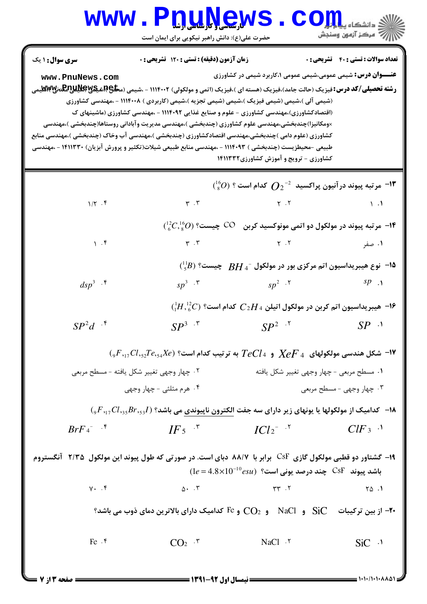## WWW.PnuNews.com أأزأت مركز آزمون وسنجش حضرت علی(ع): دانش راهبر نیکویی برای ایمان است **تعداد سوالات : تستي : 40 - تشريحي : 0 سری سوال : ۱ یک** زمان آزمون (دقيقه) : تستى ; 120 تشريحي ; . **عنـــوان درس:** شیمی عمومی،شیمی عمومی ۱،کاربرد شیمی در کشاورزی www.PnuNews.com **رشته تحصیلی/کد درس:**فیزیک (حالت جامد)،فیزیک (هسته ای )،فیزیک (اتمی و مولکولی) ۱۱۱۴۰۰۲ - ،شیمی (م**حلوARپرRPیلیRPپرRPپ**هی (شیمی آلی )،شیمی (شیمی فیزیک )،شیمی (شیمی تجزیه )،شیمی (کاربردی ) ۱۱۱۴۰۰۸ - ،مهندسی کشاورزی (اقتصادکشاورزی)،مهندسی کشاورزی - علوم و صنایع غذایی ۱۱۱۴۰۹۲ - ،مهندسی کشاورزی (ماشینهای ک ×ومكانيزا)چندبخشي،مهندسي علوم كشاورزي (چندبخشي )،مهندسي مديريت وآباداني روستاها(چندبخشي )،مهندسي کشاورزی (علوم دامی )چندبخشی،مهندسی اقتصادکشاورزی (چندبخشی )،مهندسی آب وخاک (چندبخشی )،مهندسی منابع طبیعی -محیطزیست (چندبخشی ) ۱۱۴۰۹۳ - ،مهندسی منابع طبیعی شیلات(تکثیر و پرورش آبزیان) ۱۴۱۱۳۳۰ - ،مهندسی کشاورزی - ترویج و آموزش کشاورزی۱۴۱۱۳۳۲  $\binom{16}{8}$ مر تبه پیوند در آنیون پراکسید  $\bigcap_{\mathbb{C}}$  کدام است ؟ ( $\mathbb{C}^3$  $1/\zeta$ .  $\zeta$  $\mathbf{r}$ . $\mathbf{r}$  $Y \cdot Y$  $\mathcal{N}$ . ا- مرتبه یبوند در مولکول دو اتمی مونوکسید کربن -CO چیست؟ (2,0%) (2,0%)  $Y \cdot Y$  $\lambda$ . ۴  $\mathbf{r}$ . $\mathbf{r}$ ۰۱ صفر <sup>11</sup>0 نوع هیبریداسیون اتم مرکزی بور در مولکول <sup>-</sup> RH 4 چیست؟ (8 5)  $dsp^3$  .  $sp^3$   $\cdot$   $\cdot$  $sp^2$  .  $\zeta$  $sp_{\Lambda}$  $\left(^1H,^{12}_{6}C\right)$  هیبریداسیون اتم کربن در مولکول اتیلن  $CH$  کدام است؟ ( $H,^{12}_{6}C$  $SP^{3}$ .  $SP^{2}$ .  $SP^2d$  .\*  $SP<sub>1</sub>$  $\pi_{15}Cl_{152}Te_{154}X$ ا- شکل هندسی مولکولهای  $KeF$  و  $TeCl$  به ترتیب کدام است؟ ( $Te_{152}Te_{152}Te_{152}$ ) ٢. چهار وجهي تغيير شكل يافته - مسطح مربعي ٠١ مسطح مربعي - چهار وجهي تغيير شكل يافته ۰۴ هرم مثلثی - چهار وجهی ۰۳ چهار وجهي - مسطح مربعي  $\left( {}_9F, {}_{17}Cl, {}_{35}Br, {}_{53}I \right)$  كداميك از مولكولها يا يونهاي زير داراي سه جفت الكترون ناپيوندي مي باشد؟  $H, {}_{17}Cl, {}_{35}Br, {}_{53}I$  $RrF_A$ <sup>- $\ddot{\zeta}$ </sup>  $IF_{5}$   $\mathcal{F}$  $ICl_2$ <sup>- .v</sup>  $ClF_3$ <sup>1</sup> ۱۹- گشتاور دو قطبی مولکول گازی CsF برابر با ۸۸/۷ دبای است. در صورتی که طول پیوند این مولکول ۲/۳۵ آنگستروم  $1e = 4.8 \times 10^{-10}$ esu) باشد پیوند  $\text{CsF}$  چند درصد یونی است؟  $y \cdot \cdot \cdot f$  $\Delta$ .  $\mathbf{r}$  $rr \cdot 7$  $\begin{bmatrix} 0 & 1 \\ 0 & 1 \end{bmatrix}$  $SiC$ <sup>.1</sup>  $Fe.5$  $NaCl$   $.7$  $CO<sub>2</sub>$   $\cdot$   $\cdot$

 $= 1.1111.1.001$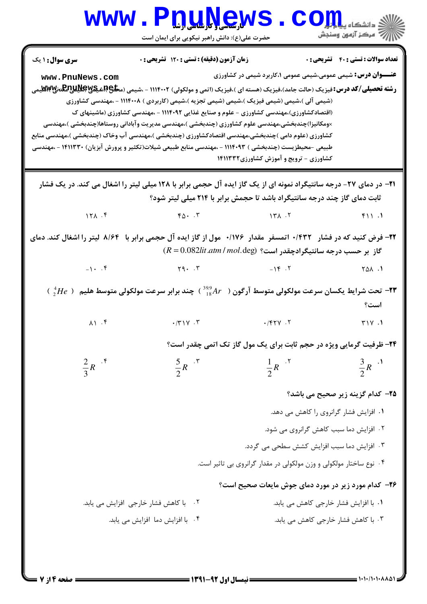|                                                   | www.PnuNews<br>حضرت علی(ع): دانش راهبر نیکویی برای ایمان است               |                                                                                                                                                                                                                                                                                                                                                                                                                                                                                                                                                                                                                                                                                                                                                                                                     | الله دانشکاه پیابانی است.<br>الله اسکن آزمون وسنجش |  |  |
|---------------------------------------------------|----------------------------------------------------------------------------|-----------------------------------------------------------------------------------------------------------------------------------------------------------------------------------------------------------------------------------------------------------------------------------------------------------------------------------------------------------------------------------------------------------------------------------------------------------------------------------------------------------------------------------------------------------------------------------------------------------------------------------------------------------------------------------------------------------------------------------------------------------------------------------------------------|----------------------------------------------------|--|--|
| سری سوال: ۱ یک                                    | زمان آزمون (دقیقه) : تستی : ۱۲۰ تشریحی : 0                                 |                                                                                                                                                                                                                                                                                                                                                                                                                                                                                                                                                                                                                                                                                                                                                                                                     | <b>تعداد سوالات : تستی : 40 قشریحی : 0</b>         |  |  |
| www.PnuNews.com                                   |                                                                            | <b>عنـــوان درس:</b> شیمی عمومی،شیمی عمومی ۱،کاربرد شیمی در کشاورزی<br><b>رشته تحصیلی/کد درس:</b> فیزیک (حالت جامد)،فیزیک (هسته ای )،فیزیک (اتمی و مولکولی) ۱۱۱۴۰۰۲ - ،شیمی (م <del>عل</del> ّع بهکلیتهایتهایتهایتهایتهایتهایتهایتهایتها<br>(شیمی آلی )،شیمی (شیمی فیزیک )،شیمی (شیمی تجزیه )،شیمی (کاربردی ) ۱۱۱۴۰۰۸ - ،مهندسی کشاورزی<br>(اقتصادکشاورزی)،مهندسی کشاورزی - علوم و صنایع غذایی ۱۱۱۴۰۹۲ - ،مهندسی کشاورزی (ماشینهای ک<br>×ومکانیزا)چندبخشی،مهندسی علوم کشاورزی (چندبخشی )،مهندسی مدیریت وآبادانی روستاها(چندبخشی )،مهندسی<br>کشاورزی (علوم دامی )چندبخشی،مهندسی اقتصادکشاورزی (چندبخشی )،مهندسی آب وخاک (چندبخشی )،مهندسی منابع<br>طبیعی -محیطزیست (چندبخشی ) ۱۱۱۴۰۹۳ - ،مهندسی منابع طبیعی شیلات(تکثیر و پرورش آبزیان) ۱۴۱۱۳۳۰ - ،مهندسی<br>کشاورزی - ترویج و آموزش کشاورزی ۱۴۱۱۳۳۲ |                                                    |  |  |
|                                                   |                                                                            | ۲۱- در دمای ۲۷- درجه سانتیگراد نمونه ای از یک گاز ایده آل حجمی برابر با ۱۲۸ میلی لیتر را اشغال می کند. در یک فشار<br>ثابت دمای گاز چند درجه سانتیگراد باشد تا حجمش برابر با ۲۱۴ میلی لیتر شود؟                                                                                                                                                                                                                                                                                                                                                                                                                                                                                                                                                                                                      |                                                    |  |  |
|                                                   |                                                                            | $A \times B$ $A \times C$ $A \times C$ $A \times C$ $A \times C$ $A \times C$ $A \times C$ $A \times C$ $A \times C$ $A \times C$ $A \times C$ $A \times C$ $A \times C$ $A \times C$ $A \times C$ $A \times C$ $A \times C$ $A \times C$ $A \times C$ $A \times C$ $A \times C$ $A \times C$ $A \times C$ $A \times C$ $A \times C$ $A \times C$ $A \times C$ $A \times C$ $A \times C$ $A \times C$ $A \times C$ $A \times$                                                                                                                                                                                                                                                                                                                                                                       | F11.1                                              |  |  |
|                                                   |                                                                            | ۲۲- فرض کنید که در فشار ۲۳۲/۰ اتمسفر ًقدار ۱۷۶/۰ مول از گاز ایده آل حجمی برابر با ۸/۶۴ لیتر را اشغال کند. دمای<br>$(R = 0.082$ lit .atm / mol.deg) گاز بر حسب درجه سانتیگرادچقدر است؟                                                                                                                                                                                                                                                                                                                                                                                                                                                                                                                                                                                                               |                                                    |  |  |
|                                                   |                                                                            | $-1.$ $.5$ $.7$ $-15.7$ $.7$ $.7$ $.7$ $.7$                                                                                                                                                                                                                                                                                                                                                                                                                                                                                                                                                                                                                                                                                                                                                         |                                                    |  |  |
|                                                   |                                                                            | ( $^4He$ ) تحت شرایط یکسان سرعت مولکولی متوسط آرگون ( $A$ ا $^{\rm 9.9}$ ) چند برابر سرعت مولکولی متوسط هلیم ( $^4He$ ) "                                                                                                                                                                                                                                                                                                                                                                                                                                                                                                                                                                                                                                                                           | است؟                                               |  |  |
| $\lambda$ $\lambda$ $\lambda$ $\lambda$ $\lambda$ | $\cdot$ $/$ $\uparrow$ $\uparrow$ $\vee$ $\cdot$ $\uparrow$                | $\cdot$ / $\uparrow \uparrow \vee$ . $\uparrow$                                                                                                                                                                                                                                                                                                                                                                                                                                                                                                                                                                                                                                                                                                                                                     | Y'                                                 |  |  |
|                                                   | <b>34- ظرفیت گرمایی ویژه در حجم ثابت برای یک مول گاز تک اتمی چقدر است؟</b> |                                                                                                                                                                                                                                                                                                                                                                                                                                                                                                                                                                                                                                                                                                                                                                                                     |                                                    |  |  |
| $\frac{2}{3}R$ .*                                 | $rac{5}{2}R$ $\cdot$ $\cdot$                                               | $\frac{1}{2}R$ $\cdot$ <sup>r</sup>                                                                                                                                                                                                                                                                                                                                                                                                                                                                                                                                                                                                                                                                                                                                                                 | $\frac{3}{2}R$ . <sup>1</sup>                      |  |  |
| <b>۲۵</b> – کدام گزینه زیر صحیح می باشد؟          |                                                                            |                                                                                                                                                                                                                                                                                                                                                                                                                                                                                                                                                                                                                                                                                                                                                                                                     |                                                    |  |  |
| ۰۱ افزایش فشار گرانروی را کاهش می دهد.            |                                                                            |                                                                                                                                                                                                                                                                                                                                                                                                                                                                                                                                                                                                                                                                                                                                                                                                     |                                                    |  |  |
|                                                   |                                                                            | ۰۲ افزایش دما سبب کاهش گرانروی می شود.                                                                                                                                                                                                                                                                                                                                                                                                                                                                                                                                                                                                                                                                                                                                                              |                                                    |  |  |
|                                                   |                                                                            | ۰۳ افزایش دما سبب افزایش کشش سطحی می گردد.                                                                                                                                                                                                                                                                                                                                                                                                                                                                                                                                                                                                                                                                                                                                                          |                                                    |  |  |
|                                                   |                                                                            | ۰۴ نوع ساختار مولکولی و وزن مولکولی در مقدار گرانروی بی تاثیر است.                                                                                                                                                                                                                                                                                                                                                                                                                                                                                                                                                                                                                                                                                                                                  |                                                    |  |  |
|                                                   |                                                                            | <b>۳۶</b> - کدام مورد زیر در مورد دمای جوش مایعات صحیح است؟                                                                                                                                                                                                                                                                                                                                                                                                                                                                                                                                                                                                                                                                                                                                         |                                                    |  |  |
| ۰۲ با کاهش فشار خارجی افزایش می یابد.             |                                                                            |                                                                                                                                                                                                                                                                                                                                                                                                                                                                                                                                                                                                                                                                                                                                                                                                     | ۰۱ با افزایش فشار خارجی کاهش می یابد.              |  |  |
|                                                   | ۰۴ با افزایش دما افزایش می یابد.                                           |                                                                                                                                                                                                                                                                                                                                                                                                                                                                                                                                                                                                                                                                                                                                                                                                     | ٠٣ با كاهش فشار خارجي كاهش مي يابد.                |  |  |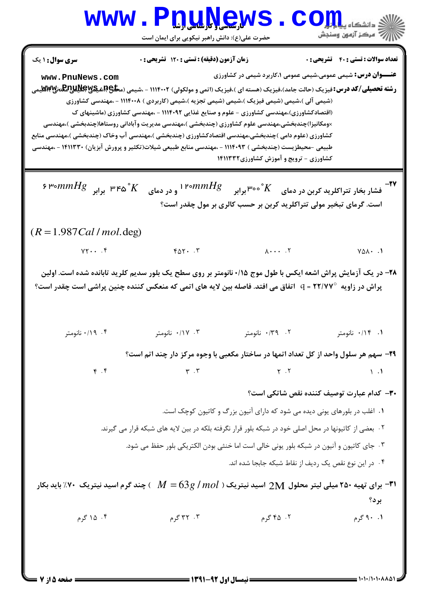WWW.PnuNews.com الآرآه مركز آزمون وسنجش حضرت علی(ع): دانش راهبر نیکویی برای ایمان است **سری سوال :** ۱ یک **زمان آزمون (دقیقه) : تستی : 120 تشریحی: 0** تعداد سوالات : تستي : 40 - تشريحي : 0 **عنـــوان درس:** شیمی عمومی،شیمی عمومی ۱،کاربرد شیمی در کشاورزی www.PnuNews.com **رشته تحصیلی/کد درس:**فیزیک (حالت جامد)،فیزیک (هسته ای )،فیزیک (اتمی و مولکولی) ۱۱۱۴۰۰۲ - ،شیمی (م**حلهٔعِلا RABبهگوللایلها استان می** است استان استانهها استان استان استان استان استان استان استان استان استان استان استان استا (شیمی آلی )،شیمی (شیمی فیزیک )،شیمی (شیمی تجزیه )،شیمی (کاربردی ) ۱۱۱۴۰۰۸ - ،مهندسی کشاورزی (اقتصادکشاورزی)،مهندسی کشاورزی - علوم و صنایع غذایی ۱۱۱۴۰۹۲ - ،مهندسی کشاورزی (ماشینهای ک ×ومكانيزا)چندبخشي،مهندسي علوم كشاورزي (چندبخشي )،مهندسي مديريت وآباداني روستاها(چندبخشي )،مهندسي کشاورزی (علوم دامی )چندبخشی،مهندسی اقتصادکشاورزی (چندبخشی )،مهندسی آب وخاک (چندبخشی )،مهندسی منابع طبيعي -محيطزيست (چندبخشي ) ١١١٤٠٩٣ - ،مهندسي منابع طبيعي شيلات(تكثير و يرورش آبزيان) ١۴١١٣٣٠ - ،مهندسي کشاورزی - ترویج و آموزش کشاورزی۱۴۱۱۳۳۲ ۶ میسار بخار تتراکلرید کربن در دمای ۱۲۰ $m mHg$ ۰۰۰ و در دمای  $K$ ۴۵ $^{\circ}$ ۳۴۵ برابر ۱۲۰۰ $mmHg$ ۲۰۰۰ و  $^{\circ}$ ۲۰۰۰ و در دمای است. گرمای تبخیر مولی تتراکلرید کربن بر حسب کالری بر مول چقدر است؟  $(R = 1.987Cal/mol$ . deg)  $VT...$  $\Lambda$ ...  $\zeta$  $Y \Delta Y \cdot \cdot Y$  $V \triangle A \cdot \cdot \cdot$ ۲۸- در یک آزمایش پراش اشعه ایکس با طول موج ۱۵/۰ نانومتر بر روی سطح یک بلور سدیم کلرید تابانده شده است. اولین پراش در زاویه 7۲/۷۷° = q اتفاق می افتد. فاصله بین لایه های اتمی که منعکس کننده چنین پراشی است چقدر است؟ ۰/۱۹ نانومتر ۰/۱۷ نانومتر ۰٫۳۹ نانومتر ۰/۱۴ نانومتر ۲۹- سهم هر سلول واحد از کل تعداد اتمها در ساختار مکعبی با وجوه مرکز دار چند اتم است؟  $f. f$  $Y \cdot Y$  $\mathbf{r}$ . $\mathbf{r}$  $\setminus \cdot$ **٣٠**- كدام عبارت توصيف كننده نقص شاتكى است؟ ۰۱ اغلب در بلورهای یونی دیده می شود که دارای آنیون بزرگ و کاتیون کوچک است. <sup>۲</sup>۰ بعضی از کاتیونها در محل اصلی خود در شبکه بلور قرار نگرفته بلکه در بین لایه های شبکه قرار می گیرند. ۰۳ جای کاتیون و آنیون در شبکه بلور یونی خالی است اما خنثی بودن الکتریکی بلور حفظ می شود. ۰۴ در این نوع نقص یک ردیف از نقاط شبکه جابجا شده اند. برای تهیه ۲۵۰ میلی لیتر محلول  $2{\sf M}$  اسید نیتریک (  $M=63$  /  $M=63$  ) چند گرم اسید نیتریک ۷۰٪ باید بکار " بو د؟ ۰۴ ۱۵ گرم ۲. ۴۵ گرم ۰.۱ ۴ گرم ۰۳ گرم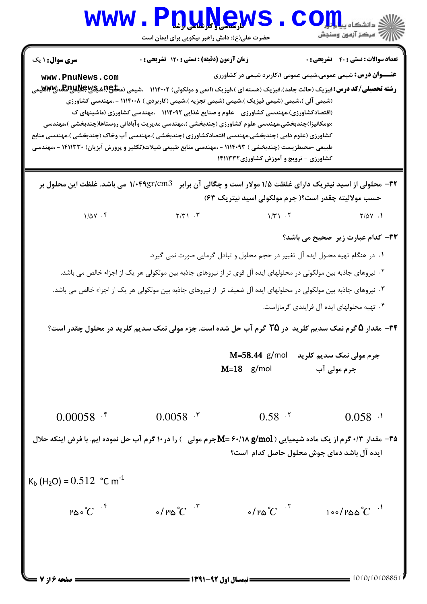